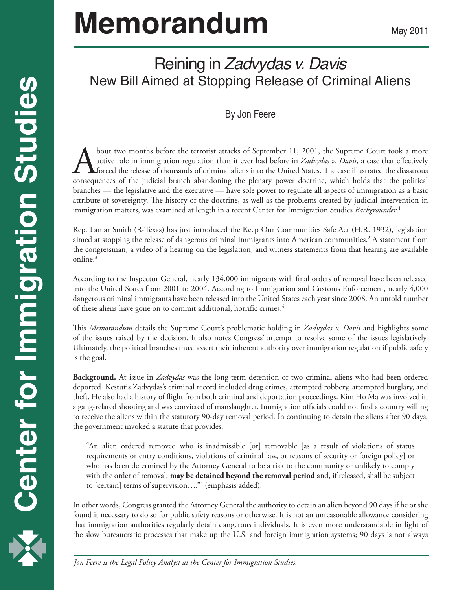# **Memorandum**

## Reining in *Zadvydas v. Davis* New Bill Aimed at Stopping Release of Criminal Aliens

#### By Jon Feere

bout two months before the terrorist attacks of September 11, 2001, the Supreme Court took a more active role in immigration regulation than it ever had before in *Zadvydas v. Davis*, a case that effectively forced the release of thousands of criminal aliens into the United States. The case illustrated the disastrous consequences of the judicial branch abandoning the plenary power doctrine, which holds that the political branches — the legislative and the executive — have sole power to regulate all aspects of immigration as a basic attribute of sovereignty. The history of the doctrine, as well as the problems created by judicial intervention in immigration matters, was examined at length in a recent Center for Immigration Studies *Backgrounder*. 1

Rep. Lamar Smith (R-Texas) has just introduced the Keep Our Communities Safe Act (H.R. 1932), legislation aimed at stopping the release of dangerous criminal immigrants into American communities.2 A statement from the congressman, a video of a hearing on the legislation, and witness statements from that hearing are available online.<sup>3</sup>

According to the Inspector General, nearly 134,000 immigrants with final orders of removal have been released into the United States from 2001 to 2004. According to Immigration and Customs Enforcement, nearly 4,000 dangerous criminal immigrants have been released into the United States each year since 2008. An untold number of these aliens have gone on to commit additional, horrific crimes.<sup>4</sup>

This *Memorandum* details the Supreme Court's problematic holding in *Zadvydas v. Davis* and highlights some of the issues raised by the decision. It also notes Congress' attempt to resolve some of the issues legislatively. Ultimately, the political branches must assert their inherent authority over immigration regulation if public safety is the goal.

**Background.** At issue in *Zadvydas* was the long-term detention of two criminal aliens who had been ordered deported. Kestutis Zadvydas's criminal record included drug crimes, attempted robbery, attempted burglary, and theft. He also had a history of flight from both criminal and deportation proceedings. Kim Ho Ma was involved in a gang-related shooting and was convicted of manslaughter. Immigration officials could not find a country willing to receive the aliens within the statutory 90-day removal period. In continuing to detain the aliens after 90 days, the government invoked a statute that provides:

"An alien ordered removed who is inadmissible [or] removable [as a result of violations of status requirements or entry conditions, violations of criminal law, or reasons of security or foreign policy] or who has been determined by the Attorney General to be a risk to the community or unlikely to comply with the order of removal, **may be detained beyond the removal period** and, if released, shall be subject to [certain] terms of supervision…."5 (emphasis added).

In other words, Congress granted the Attorney General the authority to detain an alien beyond 90 days if he or she found it necessary to do so for public safety reasons or otherwise. It is not an unreasonable allowance considering that immigration authorities regularly detain dangerous individuals. It is even more understandable in light of the slow bureaucratic processes that make up the U.S. and foreign immigration systems; 90 days is not always

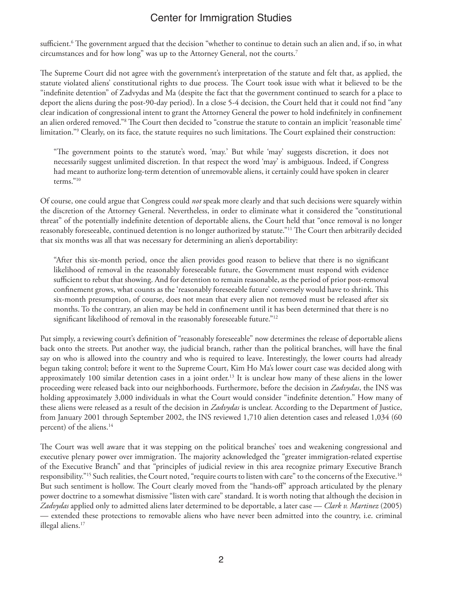sufficient.6 The government argued that the decision "whether to continue to detain such an alien and, if so, in what circumstances and for how long" was up to the Attorney General, not the courts.7

The Supreme Court did not agree with the government's interpretation of the statute and felt that, as applied, the statute violated aliens' constitutional rights to due process. The Court took issue with what it believed to be the "indefinite detention" of Zadvydas and Ma (despite the fact that the government continued to search for a place to deport the aliens during the post-90-day period). In a close 5-4 decision, the Court held that it could not find "any clear indication of congressional intent to grant the Attorney General the power to hold indefinitely in confinement an alien ordered removed."8 The Court then decided to "construe the statute to contain an implicit 'reasonable time' limitation."9 Clearly, on its face, the statute requires no such limitations. The Court explained their construction:

"The government points to the statute's word, 'may.' But while 'may' suggests discretion, it does not necessarily suggest unlimited discretion. In that respect the word 'may' is ambiguous. Indeed, if Congress had meant to authorize long-term detention of unremovable aliens, it certainly could have spoken in clearer terms."10

Of course, one could argue that Congress could *not* speak more clearly and that such decisions were squarely within the discretion of the Attorney General. Nevertheless, in order to eliminate what it considered the "constitutional threat" of the potentially indefinite detention of deportable aliens, the Court held that "once removal is no longer reasonably foreseeable, continued detention is no longer authorized by statute."11 The Court then arbitrarily decided that six months was all that was necessary for determining an alien's deportability:

"After this six-month period, once the alien provides good reason to believe that there is no significant likelihood of removal in the reasonably foreseeable future, the Government must respond with evidence sufficient to rebut that showing. And for detention to remain reasonable, as the period of prior post-removal confinement grows, what counts as the 'reasonably foreseeable future' conversely would have to shrink. This six-month presumption, of course, does not mean that every alien not removed must be released after six months. To the contrary, an alien may be held in confinement until it has been determined that there is no significant likelihood of removal in the reasonably foreseeable future."<sup>12</sup>

Put simply, a reviewing court's definition of "reasonably foreseeable" now determines the release of deportable aliens back onto the streets. Put another way, the judicial branch, rather than the political branches, will have the final say on who is allowed into the country and who is required to leave. Interestingly, the lower courts had already begun taking control; before it went to the Supreme Court, Kim Ho Ma's lower court case was decided along with approximately 100 similar detention cases in a joint order.13 It is unclear how many of these aliens in the lower proceeding were released back into our neighborhoods. Furthermore, before the decision in *Zadvydas*, the INS was holding approximately 3,000 individuals in what the Court would consider "indefinite detention." How many of these aliens were released as a result of the decision in *Zadvydas* is unclear. According to the Department of Justice, from January 2001 through September 2002, the INS reviewed 1,710 alien detention cases and released 1,034 (60 percent) of the aliens.14

The Court was well aware that it was stepping on the political branches' toes and weakening congressional and executive plenary power over immigration. The majority acknowledged the "greater immigration-related expertise of the Executive Branch" and that "principles of judicial review in this area recognize primary Executive Branch responsibility."<sup>15</sup> Such realities, the Court noted, "require courts to listen with care" to the concerns of the Executive.<sup>16</sup> But such sentiment is hollow. The Court clearly moved from the "hands-off" approach articulated by the plenary power doctrine to a somewhat dismissive "listen with care" standard. It is worth noting that although the decision in *Zadvydas* applied only to admitted aliens later determined to be deportable, a later case — *Clark v. Martinez* (2005) — extended these protections to removable aliens who have never been admitted into the country, i.e. criminal illegal aliens.<sup>17</sup>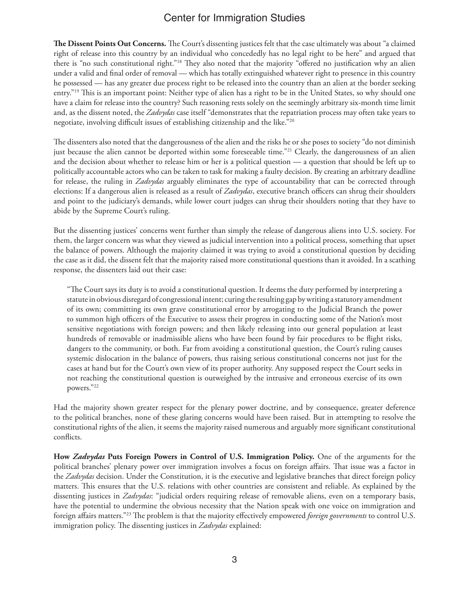**The Dissent Points Out Concerns.** The Court's dissenting justices felt that the case ultimately was about "a claimed right of release into this country by an individual who concededly has no legal right to be here" and argued that there is "no such constitutional right."18 They also noted that the majority "offered no justification why an alien under a valid and final order of removal — which has totally extinguished whatever right to presence in this country he possessed — has any greater due process right to be released into the country than an alien at the border seeking entry."19 This is an important point: Neither type of alien has a right to be in the United States, so why should one have a claim for release into the country? Such reasoning rests solely on the seemingly arbitrary six-month time limit and, as the dissent noted, the *Zadvydas* case itself "demonstrates that the repatriation process may often take years to negotiate, involving difficult issues of establishing citizenship and the like."20

The dissenters also noted that the dangerousness of the alien and the risks he or she poses to society "do not diminish just because the alien cannot be deported within some foreseeable time."<sup>21</sup> Clearly, the dangerousness of an alien and the decision about whether to release him or her is a political question — a question that should be left up to politically accountable actors who can be taken to task for making a faulty decision. By creating an arbitrary deadline for release, the ruling in *Zadvydas* arguably eliminates the type of accountability that can be corrected through elections: If a dangerous alien is released as a result of *Zadvydas*, executive branch officers can shrug their shoulders and point to the judiciary's demands, while lower court judges can shrug their shoulders noting that they have to abide by the Supreme Court's ruling.

But the dissenting justices' concerns went further than simply the release of dangerous aliens into U.S. society. For them, the larger concern was what they viewed as judicial intervention into a political process, something that upset the balance of powers. Although the majority claimed it was trying to avoid a constitutional question by deciding the case as it did, the dissent felt that the majority raised more constitutional questions than it avoided. In a scathing response, the dissenters laid out their case:

"The Court says its duty is to avoid a constitutional question. It deems the duty performed by interpreting a statute in obvious disregard of congressional intent; curing the resulting gap by writing a statutory amendment of its own; committing its own grave constitutional error by arrogating to the Judicial Branch the power to summon high officers of the Executive to assess their progress in conducting some of the Nation's most sensitive negotiations with foreign powers; and then likely releasing into our general population at least hundreds of removable or inadmissible aliens who have been found by fair procedures to be flight risks, dangers to the community, or both. Far from avoiding a constitutional question, the Court's ruling causes systemic dislocation in the balance of powers, thus raising serious constitutional concerns not just for the cases at hand but for the Court's own view of its proper authority. Any supposed respect the Court seeks in not reaching the constitutional question is outweighed by the intrusive and erroneous exercise of its own powers."22

Had the majority shown greater respect for the plenary power doctrine, and by consequence, greater deference to the political branches, none of these glaring concerns would have been raised. But in attempting to resolve the constitutional rights of the alien, it seems the majority raised numerous and arguably more significant constitutional conflicts.

**How** *Zadvydas* **Puts Foreign Powers in Control of U.S. Immigration Policy.** One of the arguments for the political branches' plenary power over immigration involves a focus on foreign affairs. That issue was a factor in the *Zadvydas* decision. Under the Constitution, it is the executive and legislative branches that direct foreign policy matters. This ensures that the U.S. relations with other countries are consistent and reliable. As explained by the dissenting justices in *Zadvydas*: "judicial orders requiring release of removable aliens, even on a temporary basis, have the potential to undermine the obvious necessity that the Nation speak with one voice on immigration and foreign affairs matters."23 The problem is that the majority effectively empowered *foreign governments* to control U.S. immigration policy. The dissenting justices in *Zadvydas* explained: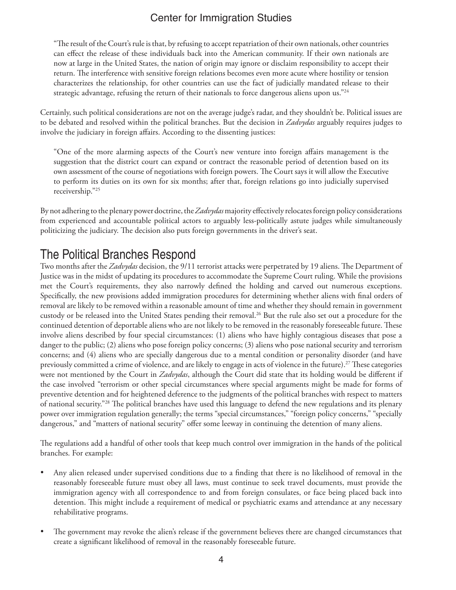"The result of the Court's rule is that, by refusing to accept repatriation of their own nationals, other countries can effect the release of these individuals back into the American community. If their own nationals are now at large in the United States, the nation of origin may ignore or disclaim responsibility to accept their return. The interference with sensitive foreign relations becomes even more acute where hostility or tension characterizes the relationship, for other countries can use the fact of judicially mandated release to their strategic advantage, refusing the return of their nationals to force dangerous aliens upon us."<sup>24</sup>

Certainly, such political considerations are not on the average judge's radar, and they shouldn't be. Political issues are to be debated and resolved within the political branches. But the decision in *Zadvydas* arguably requires judges to involve the judiciary in foreign affairs. According to the dissenting justices:

"One of the more alarming aspects of the Court's new venture into foreign affairs management is the suggestion that the district court can expand or contract the reasonable period of detention based on its own assessment of the course of negotiations with foreign powers. The Court says it will allow the Executive to perform its duties on its own for six months; after that, foreign relations go into judicially supervised receivership."25

By not adhering to the plenary power doctrine, the *Zadvydas* majority effectively relocates foreign policy considerations from experienced and accountable political actors to arguably less-politically astute judges while simultaneously politicizing the judiciary. The decision also puts foreign governments in the driver's seat.

### The Political Branches Respond

Two months after the *Zadvydas* decision, the 9/11 terrorist attacks were perpetrated by 19 aliens. The Department of Justice was in the midst of updating its procedures to accommodate the Supreme Court ruling. While the provisions met the Court's requirements, they also narrowly defined the holding and carved out numerous exceptions. Specifically, the new provisions added immigration procedures for determining whether aliens with final orders of removal are likely to be removed within a reasonable amount of time and whether they should remain in government custody or be released into the United States pending their removal.26 But the rule also set out a procedure for the continued detention of deportable aliens who are not likely to be removed in the reasonably foreseeable future. These involve aliens described by four special circumstances: (1) aliens who have highly contagious diseases that pose a danger to the public; (2) aliens who pose foreign policy concerns; (3) aliens who pose national security and terrorism concerns; and (4) aliens who are specially dangerous due to a mental condition or personality disorder (and have previously committed a crime of violence, and are likely to engage in acts of violence in the future).<sup>27</sup> These categories were not mentioned by the Court in *Zadvydas*, although the Court did state that its holding would be different if the case involved "terrorism or other special circumstances where special arguments might be made for forms of preventive detention and for heightened deference to the judgments of the political branches with respect to matters of national security."28 The political branches have used this language to defend the new regulations and its plenary power over immigration regulation generally; the terms "special circumstances," "foreign policy concerns," "specially dangerous," and "matters of national security" offer some leeway in continuing the detention of many aliens.

The regulations add a handful of other tools that keep much control over immigration in the hands of the political branches. For example:

- Any alien released under supervised conditions due to a finding that there is no likelihood of removal in the reasonably foreseeable future must obey all laws, must continue to seek travel documents, must provide the immigration agency with all correspondence to and from foreign consulates, or face being placed back into detention. This might include a requirement of medical or psychiatric exams and attendance at any necessary rehabilitative programs.
- The government may revoke the alien's release if the government believes there are changed circumstances that create a significant likelihood of removal in the reasonably foreseeable future.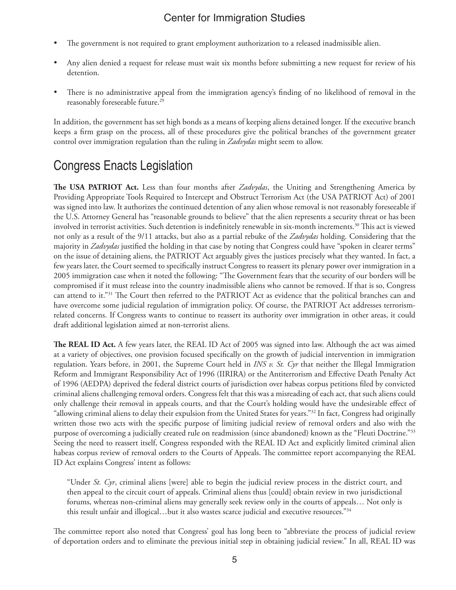- The government is not required to grant employment authorization to a released inadmissible alien.
- Any alien denied a request for release must wait six months before submitting a new request for review of his detention.
- There is no administrative appeal from the immigration agency's finding of no likelihood of removal in the reasonably foreseeable future.<sup>29</sup>

In addition, the government has set high bonds as a means of keeping aliens detained longer. If the executive branch keeps a firm grasp on the process, all of these procedures give the political branches of the government greater control over immigration regulation than the ruling in *Zadvydas* might seem to allow.

## Congress Enacts Legislation

**The USA PATRIOT Act.** Less than four months after *Zadvydas*, the Uniting and Strengthening America by Providing Appropriate Tools Required to Intercept and Obstruct Terrorism Act (the USA PATRIOT Act) of 2001 was signed into law. It authorizes the continued detention of any alien whose removal is not reasonably foreseeable if the U.S. Attorney General has "reasonable grounds to believe" that the alien represents a security threat or has been involved in terrorist activities. Such detention is indefinitely renewable in six-month increments.30 This act is viewed not only as a result of the 9/11 attacks, but also as a partial rebuke of the *Zadvydas* holding. Considering that the majority in *Zadvydas* justified the holding in that case by noting that Congress could have "spoken in clearer terms" on the issue of detaining aliens, the PATRIOT Act arguably gives the justices precisely what they wanted. In fact, a few years later, the Court seemed to specifically instruct Congress to reassert its plenary power over immigration in a 2005 immigration case when it noted the following: "The Government fears that the security of our borders will be compromised if it must release into the country inadmissible aliens who cannot be removed. If that is so, Congress can attend to it."31 The Court then referred to the PATRIOT Act as evidence that the political branches can and have overcome some judicial regulation of immigration policy. Of course, the PATRIOT Act addresses terrorismrelated concerns. If Congress wants to continue to reassert its authority over immigration in other areas, it could draft additional legislation aimed at non-terrorist aliens.

**The REAL ID Act.** A few years later, the REAL ID Act of 2005 was signed into law. Although the act was aimed at a variety of objectives, one provision focused specifically on the growth of judicial intervention in immigration regulation. Years before, in 2001, the Supreme Court held in *INS v. St. Cyr* that neither the Illegal Immigration Reform and Immigrant Responsibility Act of 1996 (IIRIRA) or the Antiterrorism and Effective Death Penalty Act of 1996 (AEDPA) deprived the federal district courts of jurisdiction over habeas corpus petitions filed by convicted criminal aliens challenging removal orders. Congress felt that this was a misreading of each act, that such aliens could only challenge their removal in appeals courts, and that the Court's holding would have the undesirable effect of "allowing criminal aliens to delay their expulsion from the United States for years."32 In fact, Congress had originally written those two acts with the specific purpose of limiting judicial review of removal orders and also with the purpose of overcoming a judicially created rule on readmission (since abandoned) known as the "Fleuti Doctrine."33 Seeing the need to reassert itself, Congress responded with the REAL ID Act and explicitly limited criminal alien habeas corpus review of removal orders to the Courts of Appeals. The committee report accompanying the REAL ID Act explains Congress' intent as follows:

"Under *St. Cyr*, criminal aliens [were] able to begin the judicial review process in the district court, and then appeal to the circuit court of appeals. Criminal aliens thus [could] obtain review in two jurisdictional forums, whereas non-criminal aliens may generally seek review only in the courts of appeals… Not only is this result unfair and illogical...but it also wastes scarce judicial and executive resources."<sup>34</sup>

The committee report also noted that Congress' goal has long been to "abbreviate the process of judicial review of deportation orders and to eliminate the previous initial step in obtaining judicial review." In all, REAL ID was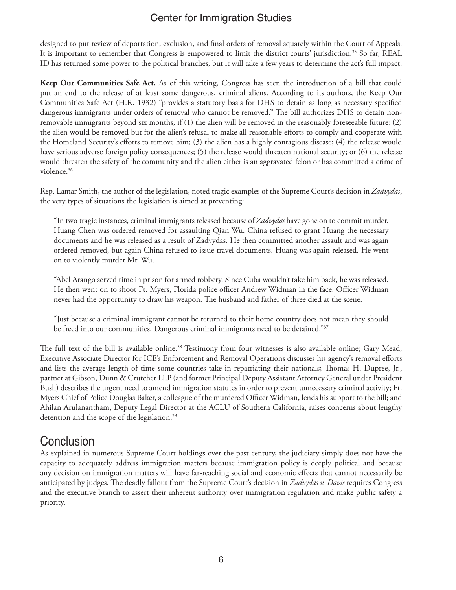designed to put review of deportation, exclusion, and final orders of removal squarely within the Court of Appeals. It is important to remember that Congress is empowered to limit the district courts' jurisdiction.<sup>35</sup> So far, REAL ID has returned some power to the political branches, but it will take a few years to determine the act's full impact.

**Keep Our Communities Safe Act.** As of this writing, Congress has seen the introduction of a bill that could put an end to the release of at least some dangerous, criminal aliens. According to its authors, the Keep Our Communities Safe Act (H.R. 1932) "provides a statutory basis for DHS to detain as long as necessary specified dangerous immigrants under orders of removal who cannot be removed." The bill authorizes DHS to detain nonremovable immigrants beyond six months, if (1) the alien will be removed in the reasonably foreseeable future; (2) the alien would be removed but for the alien's refusal to make all reasonable efforts to comply and cooperate with the Homeland Security's efforts to remove him; (3) the alien has a highly contagious disease; (4) the release would have serious adverse foreign policy consequences; (5) the release would threaten national security; or (6) the release would threaten the safety of the community and the alien either is an aggravated felon or has committed a crime of violence.36

Rep. Lamar Smith, the author of the legislation, noted tragic examples of the Supreme Court's decision in *Zadvydas*, the very types of situations the legislation is aimed at preventing:

"In two tragic instances, criminal immigrants released because of *Zadvydas* have gone on to commit murder. Huang Chen was ordered removed for assaulting Qian Wu. China refused to grant Huang the necessary documents and he was released as a result of Zadvydas. He then committed another assault and was again ordered removed, but again China refused to issue travel documents. Huang was again released. He went on to violently murder Mr. Wu.

"Abel Arango served time in prison for armed robbery. Since Cuba wouldn't take him back, he was released. He then went on to shoot Ft. Myers, Florida police officer Andrew Widman in the face. Officer Widman never had the opportunity to draw his weapon. The husband and father of three died at the scene.

"Just because a criminal immigrant cannot be returned to their home country does not mean they should be freed into our communities. Dangerous criminal immigrants need to be detained."37

The full text of the bill is available online.38 Testimony from four witnesses is also available online; Gary Mead, Executive Associate Director for ICE's Enforcement and Removal Operations discusses his agency's removal efforts and lists the average length of time some countries take in repatriating their nationals; Thomas H. Dupree, Jr., partner at Gibson, Dunn & Crutcher LLP (and former Principal Deputy Assistant Attorney General under President Bush) describes the urgent need to amend immigration statutes in order to prevent unnecessary criminal activity; Ft. Myers Chief of Police Douglas Baker, a colleague of the murdered Officer Widman, lends his support to the bill; and Ahilan Arulanantham, Deputy Legal Director at the ACLU of Southern California, raises concerns about lengthy detention and the scope of the legislation.<sup>39</sup>

#### **Conclusion**

As explained in numerous Supreme Court holdings over the past century, the judiciary simply does not have the capacity to adequately address immigration matters because immigration policy is deeply political and because any decision on immigration matters will have far-reaching social and economic effects that cannot necessarily be anticipated by judges. The deadly fallout from the Supreme Court's decision in *Zadvydas v. Davis* requires Congress and the executive branch to assert their inherent authority over immigration regulation and make public safety a priority.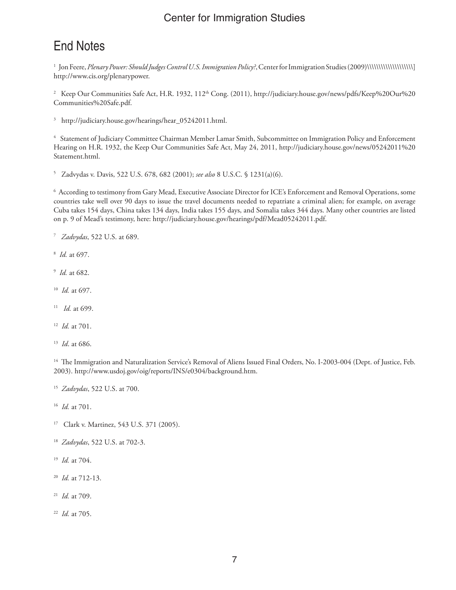## End Notes

 Jon Feere, *Plenary Power: Should Judges Control U.S. Immigration Policy?*, Center for Immigration Studies (2009)\\\\\\\\\\\\\\\\\\\\] http://www.cis.org/plenarypower.

 Keep Our Communities Safe Act, H.R. 1932, 112th Cong. (2011), http://judiciary.house.gov/news/pdfs/Keep%20Our%20 Communities%20Safe.pdf.

http://judiciary.house.gov/hearings/hear\_05242011.html.

 Statement of Judiciary Committee Chairman Member Lamar Smith, Subcommittee on Immigration Policy and Enforcement Hearing on H.R. 1932, the Keep Our Communities Safe Act, May 24, 2011, http://judiciary.house.gov/news/05242011%20 Statement.html.

Zadvydas v. Davis, 522 U.S. 678, 682 (2001); *see also* 8 U.S.C. § 1231(a)(6).

 According to testimony from Gary Mead, Executive Associate Director for ICE's Enforcement and Removal Operations, some countries take well over 90 days to issue the travel documents needed to repatriate a criminal alien; for example, on average Cuba takes 154 days, China takes 134 days, India takes 155 days, and Somalia takes 344 days. Many other countries are listed on p. 9 of Mead's testimony, here: http://judiciary.house.gov/hearings/pdf/Mead05242011.pdf.

- *Zadvydas*, 522 U.S. at 689.
- *Id.* at 697.
- *Id.* at 682.
- *Id.* at 697.
- *Id.* at 699.
- *Id.* at 701.
- *Id*. at 686.

<sup>14</sup> The Immigration and Naturalization Service's Removal of Aliens Issued Final Orders, No. I-2003-004 (Dept. of Justice, Feb. 2003). http://www.usdoj.gov/oig/reports/INS/e0304/background.htm.

*Zadvydas*, 522 U.S. at 700.

*Id.* at 701.

- 17 Clark v. Martinez, 543 U.S. 371 (2005).
- *Zadvydas*, 522 U.S. at 702-3.
- *Id.* at 704.
- *Id.* at 712-13.
- *Id.* at 709.
- *Id.* at 705.